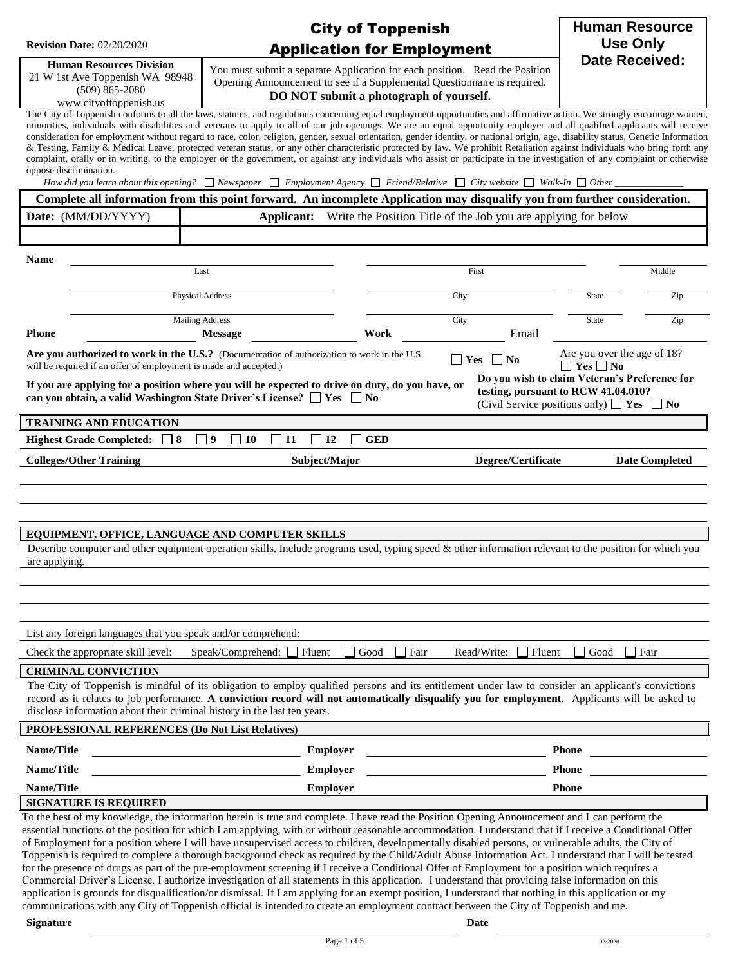|                                                                                                                    | <b>City of Toppenish</b>                                                                                                                                                                                                                                                                                                                                                                                                                                                                                                                                                                                                                                                                                                                                                                                                                                                                                                                                                                                                                                                                 |                                                                                  | <b>Human Resource</b>                                                                                                                       |  |
|--------------------------------------------------------------------------------------------------------------------|------------------------------------------------------------------------------------------------------------------------------------------------------------------------------------------------------------------------------------------------------------------------------------------------------------------------------------------------------------------------------------------------------------------------------------------------------------------------------------------------------------------------------------------------------------------------------------------------------------------------------------------------------------------------------------------------------------------------------------------------------------------------------------------------------------------------------------------------------------------------------------------------------------------------------------------------------------------------------------------------------------------------------------------------------------------------------------------|----------------------------------------------------------------------------------|---------------------------------------------------------------------------------------------------------------------------------------------|--|
| <b>Revision Date: 02/20/2020</b>                                                                                   | <b>Application for Employment</b>                                                                                                                                                                                                                                                                                                                                                                                                                                                                                                                                                                                                                                                                                                                                                                                                                                                                                                                                                                                                                                                        |                                                                                  | <b>Use Only</b>                                                                                                                             |  |
| <b>Human Resources Division</b><br>21 W 1st Ave Toppenish WA 98948<br>$(509) 865 - 2080$<br>www.cityoftoppenish.us | You must submit a separate Application for each position. Read the Position<br>Opening Announcement to see if a Supplemental Questionnaire is required.<br>DO NOT submit a photograph of yourself.                                                                                                                                                                                                                                                                                                                                                                                                                                                                                                                                                                                                                                                                                                                                                                                                                                                                                       |                                                                                  | <b>Date Received:</b>                                                                                                                       |  |
| oppose discrimination.                                                                                             | The City of Toppenish conforms to all the laws, statutes, and regulations concerning equal employment opportunities and affirmative action. We strongly encourage women,<br>minorities, individuals with disabilities and veterans to apply to all of our job openings. We are an equal opportunity employer and all qualified applicants will receive<br>consideration for employment without regard to race, color, religion, gender, sexual orientation, gender identity, or national origin, age, disability status, Genetic Information<br>& Testing, Family & Medical Leave, protected veteran status, or any other characteristic protected by law. We prohibit Retaliation against individuals who bring forth any<br>complaint, orally or in writing, to the employer or the government, or against any individuals who assist or participate in the investigation of any complaint or otherwise<br>How did you learn about this opening? $\Box$ Newspaper $\Box$ Employment Agency $\Box$ Friend/Relative $\Box$ City website $\Box$ Walk-In $\Box$ Other $\Box$               |                                                                                  |                                                                                                                                             |  |
|                                                                                                                    | Complete all information from this point forward. An incomplete Application may disqualify you from further consideration.                                                                                                                                                                                                                                                                                                                                                                                                                                                                                                                                                                                                                                                                                                                                                                                                                                                                                                                                                               |                                                                                  |                                                                                                                                             |  |
| Date: (MM/DD/YYYY)                                                                                                 |                                                                                                                                                                                                                                                                                                                                                                                                                                                                                                                                                                                                                                                                                                                                                                                                                                                                                                                                                                                                                                                                                          | <b>Applicant:</b> Write the Position Title of the Job you are applying for below |                                                                                                                                             |  |
|                                                                                                                    |                                                                                                                                                                                                                                                                                                                                                                                                                                                                                                                                                                                                                                                                                                                                                                                                                                                                                                                                                                                                                                                                                          |                                                                                  |                                                                                                                                             |  |
| <b>Name</b>                                                                                                        |                                                                                                                                                                                                                                                                                                                                                                                                                                                                                                                                                                                                                                                                                                                                                                                                                                                                                                                                                                                                                                                                                          |                                                                                  |                                                                                                                                             |  |
|                                                                                                                    | Last                                                                                                                                                                                                                                                                                                                                                                                                                                                                                                                                                                                                                                                                                                                                                                                                                                                                                                                                                                                                                                                                                     | First                                                                            | Middle                                                                                                                                      |  |
|                                                                                                                    | Physical Address                                                                                                                                                                                                                                                                                                                                                                                                                                                                                                                                                                                                                                                                                                                                                                                                                                                                                                                                                                                                                                                                         | City                                                                             | Zip<br><b>State</b>                                                                                                                         |  |
| <b>Phone</b>                                                                                                       | <b>Mailing Address</b><br><b>Work</b><br><b>Message</b>                                                                                                                                                                                                                                                                                                                                                                                                                                                                                                                                                                                                                                                                                                                                                                                                                                                                                                                                                                                                                                  | City<br>Email                                                                    | Zip<br><b>State</b>                                                                                                                         |  |
| will be required if an offer of employment is made and accepted.)                                                  | Are you authorized to work in the U.S.? (Documentation of authorization to work in the U.S.                                                                                                                                                                                                                                                                                                                                                                                                                                                                                                                                                                                                                                                                                                                                                                                                                                                                                                                                                                                              | $\Box$ Yes $\Box$ No                                                             | Are you over the age of 18?<br>$\Box$ Yes $\Box$ No                                                                                         |  |
|                                                                                                                    | If you are applying for a position where you will be expected to drive on duty, do you have, or<br>can you obtain, a valid Washington State Driver's License? $\Box$ Yes $\Box$ No                                                                                                                                                                                                                                                                                                                                                                                                                                                                                                                                                                                                                                                                                                                                                                                                                                                                                                       |                                                                                  | Do you wish to claim Veteran's Preference for<br>testing, pursuant to RCW 41.04.010?<br>(Civil Service positions only) $\Box$ Yes $\Box$ No |  |
| <b>TRAINING AND EDUCATION</b>                                                                                      |                                                                                                                                                                                                                                                                                                                                                                                                                                                                                                                                                                                                                                                                                                                                                                                                                                                                                                                                                                                                                                                                                          |                                                                                  |                                                                                                                                             |  |
| Highest Grade Completed: $\Box$ 8                                                                                  | $\Box$ 9<br>$\Box$ 10<br><b>GED</b><br>$\mathbf{1}$<br>  11<br>$\Box$ 12                                                                                                                                                                                                                                                                                                                                                                                                                                                                                                                                                                                                                                                                                                                                                                                                                                                                                                                                                                                                                 |                                                                                  |                                                                                                                                             |  |
| <b>Colleges/Other Training</b>                                                                                     | Subject/Major                                                                                                                                                                                                                                                                                                                                                                                                                                                                                                                                                                                                                                                                                                                                                                                                                                                                                                                                                                                                                                                                            | Degree/Certificate                                                               | <b>Date Completed</b>                                                                                                                       |  |
|                                                                                                                    |                                                                                                                                                                                                                                                                                                                                                                                                                                                                                                                                                                                                                                                                                                                                                                                                                                                                                                                                                                                                                                                                                          |                                                                                  |                                                                                                                                             |  |
|                                                                                                                    |                                                                                                                                                                                                                                                                                                                                                                                                                                                                                                                                                                                                                                                                                                                                                                                                                                                                                                                                                                                                                                                                                          |                                                                                  |                                                                                                                                             |  |
|                                                                                                                    |                                                                                                                                                                                                                                                                                                                                                                                                                                                                                                                                                                                                                                                                                                                                                                                                                                                                                                                                                                                                                                                                                          |                                                                                  |                                                                                                                                             |  |
| EQUIPMENT, OFFICE, LANGUAGE AND COMPUTER SKILLS                                                                    | Describe computer and other equipment operation skills. Include programs used, typing speed & other information relevant to the position for which you                                                                                                                                                                                                                                                                                                                                                                                                                                                                                                                                                                                                                                                                                                                                                                                                                                                                                                                                   |                                                                                  |                                                                                                                                             |  |
| are applying.                                                                                                      |                                                                                                                                                                                                                                                                                                                                                                                                                                                                                                                                                                                                                                                                                                                                                                                                                                                                                                                                                                                                                                                                                          |                                                                                  |                                                                                                                                             |  |
|                                                                                                                    |                                                                                                                                                                                                                                                                                                                                                                                                                                                                                                                                                                                                                                                                                                                                                                                                                                                                                                                                                                                                                                                                                          |                                                                                  |                                                                                                                                             |  |
|                                                                                                                    |                                                                                                                                                                                                                                                                                                                                                                                                                                                                                                                                                                                                                                                                                                                                                                                                                                                                                                                                                                                                                                                                                          |                                                                                  |                                                                                                                                             |  |
| List any foreign languages that you speak and/or comprehend:                                                       |                                                                                                                                                                                                                                                                                                                                                                                                                                                                                                                                                                                                                                                                                                                                                                                                                                                                                                                                                                                                                                                                                          |                                                                                  |                                                                                                                                             |  |
| Check the appropriate skill level:                                                                                 | Speak/Comprehend:<br>Fluent<br>Good                                                                                                                                                                                                                                                                                                                                                                                                                                                                                                                                                                                                                                                                                                                                                                                                                                                                                                                                                                                                                                                      | □ Fair<br>Read/Write:<br>Fluent                                                  | Fair<br>Good                                                                                                                                |  |
| <b>CRIMINAL CONVICTION</b>                                                                                         |                                                                                                                                                                                                                                                                                                                                                                                                                                                                                                                                                                                                                                                                                                                                                                                                                                                                                                                                                                                                                                                                                          |                                                                                  |                                                                                                                                             |  |
| disclose information about their criminal history in the last ten years.                                           | The City of Toppenish is mindful of its obligation to employ qualified persons and its entitlement under law to consider an applicant's convictions<br>record as it relates to job performance. A conviction record will not automatically disqualify you for employment. Applicants will be asked to                                                                                                                                                                                                                                                                                                                                                                                                                                                                                                                                                                                                                                                                                                                                                                                    |                                                                                  |                                                                                                                                             |  |
| PROFESSIONAL REFERENCES (Do Not List Relatives)                                                                    |                                                                                                                                                                                                                                                                                                                                                                                                                                                                                                                                                                                                                                                                                                                                                                                                                                                                                                                                                                                                                                                                                          |                                                                                  |                                                                                                                                             |  |
| Name/Title                                                                                                         | <b>Employer</b>                                                                                                                                                                                                                                                                                                                                                                                                                                                                                                                                                                                                                                                                                                                                                                                                                                                                                                                                                                                                                                                                          |                                                                                  | <b>Phone</b>                                                                                                                                |  |
| Name/Title                                                                                                         | <b>Employer</b>                                                                                                                                                                                                                                                                                                                                                                                                                                                                                                                                                                                                                                                                                                                                                                                                                                                                                                                                                                                                                                                                          |                                                                                  | <b>Phone</b>                                                                                                                                |  |
| Name/Title                                                                                                         | Employer                                                                                                                                                                                                                                                                                                                                                                                                                                                                                                                                                                                                                                                                                                                                                                                                                                                                                                                                                                                                                                                                                 |                                                                                  | Phone                                                                                                                                       |  |
| <b>SIGNATURE IS REQUIRED</b>                                                                                       | To the best of my knowledge, the information herein is true and complete. I have read the Position Opening Announcement and I can perform the                                                                                                                                                                                                                                                                                                                                                                                                                                                                                                                                                                                                                                                                                                                                                                                                                                                                                                                                            |                                                                                  |                                                                                                                                             |  |
|                                                                                                                    | essential functions of the position for which I am applying, with or without reasonable accommodation. I understand that if I receive a Conditional Offer<br>of Employment for a position where I will have unsupervised access to children, developmentally disabled persons, or vulnerable adults, the City of<br>Toppenish is required to complete a thorough background check as required by the Child/Adult Abuse Information Act. I understand that I will be tested<br>for the presence of drugs as part of the pre-employment screening if I receive a Conditional Offer of Employment for a position which requires a<br>Commercial Driver's License. I authorize investigation of all statements in this application. I understand that providing false information on this<br>application is grounds for disqualification/or dismissal. If I am applying for an exempt position, I understand that nothing in this application or my<br>communications with any City of Toppenish official is intended to create an employment contract between the City of Toppenish and me. |                                                                                  |                                                                                                                                             |  |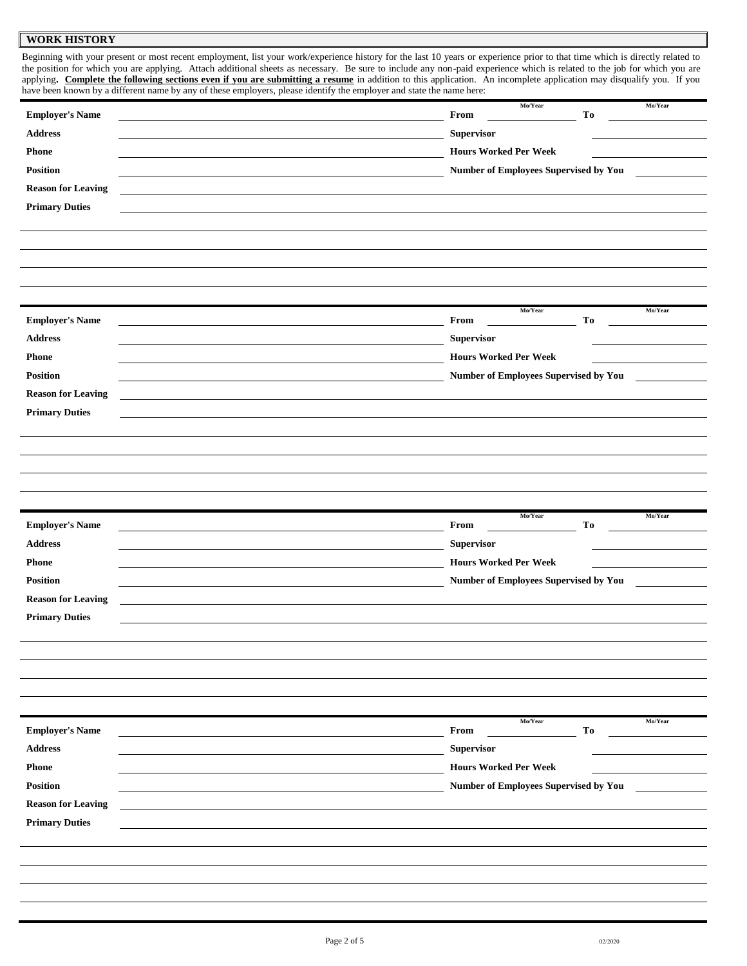#### **WORK HISTORY**

Beginning with your present or most recent employment, list your work/experience history for the last 10 years or experience prior to that time which is directly related to the position for which you are applying. Attach additional sheets as necessary. Be sure to include any non-paid experience which is related to the job for which you are applying. Complete the following sections even if you are submitting a resume in addition to this application. An incomplete application may disqualify you. If you have been known by a different name by any of these employers, please identify the employer and state the name here:

|                                 | have been known by a unterent name by any or mese employers, piease raeminy are employer and state the name nere. |            |         |
|---------------------------------|-------------------------------------------------------------------------------------------------------------------|------------|---------|
|                                 | Mo/Year                                                                                                           |            | Mo/Year |
| <b>Employer's Name</b>          | From                                                                                                              | To         |         |
| Address                         | Supervisor                                                                                                        |            |         |
|                                 |                                                                                                                   |            |         |
| <b>Phone</b>                    | <b>Hours Worked Per Week</b>                                                                                      |            |         |
| Position                        | Number of Employees Supervised by You                                                                             |            |         |
| <b>Reason for Leaving</b>       |                                                                                                                   |            |         |
| <b>Primary Duties</b>           |                                                                                                                   |            |         |
|                                 |                                                                                                                   |            |         |
|                                 |                                                                                                                   |            |         |
|                                 |                                                                                                                   |            |         |
|                                 |                                                                                                                   |            |         |
|                                 |                                                                                                                   |            |         |
|                                 |                                                                                                                   |            |         |
| <b>Employer's Name</b>          | Mo/Year<br>From                                                                                                   | To         | Mo/Year |
| $\large\bf Address$             | Supervisor                                                                                                        |            |         |
|                                 |                                                                                                                   |            |         |
| <b>Phone</b>                    | <b>Hours Worked Per Week</b>                                                                                      |            |         |
| Position                        | Number of Employees Supervised by You                                                                             |            |         |
| <b>Reason for Leaving</b>       |                                                                                                                   |            |         |
| <b>Primary Duties</b>           |                                                                                                                   |            |         |
|                                 |                                                                                                                   |            |         |
|                                 |                                                                                                                   |            |         |
|                                 |                                                                                                                   |            |         |
|                                 |                                                                                                                   |            |         |
|                                 |                                                                                                                   |            |         |
|                                 |                                                                                                                   |            |         |
|                                 |                                                                                                                   |            |         |
|                                 |                                                                                                                   |            |         |
| <b>Employer's Name</b>          | Mo/Year<br>From                                                                                                   | ${\bf To}$ | Mo/Year |
|                                 |                                                                                                                   |            |         |
| <b>Address</b>                  | Supervisor                                                                                                        |            |         |
| <b>Phone</b>                    | <b>Hours Worked Per Week</b>                                                                                      |            |         |
| Position                        | Number of Employees Supervised by You                                                                             |            |         |
| <b>Reason for Leaving</b>       |                                                                                                                   |            |         |
|                                 |                                                                                                                   |            |         |
| <b>Primary Duties</b>           |                                                                                                                   |            |         |
|                                 |                                                                                                                   |            |         |
|                                 |                                                                                                                   |            |         |
|                                 |                                                                                                                   |            |         |
|                                 |                                                                                                                   |            |         |
|                                 |                                                                                                                   |            |         |
|                                 | Mo/Year                                                                                                           |            | Mo/Year |
| <b>Employer's Name</b>          | From                                                                                                              | To         |         |
| $\boldsymbol{\mathbf{Address}}$ | <b>Supervisor</b>                                                                                                 |            |         |
| <b>Phone</b>                    | <b>Hours Worked Per Week</b>                                                                                      |            |         |
|                                 |                                                                                                                   |            |         |
| Position                        | Number of Employees Supervised by You                                                                             |            |         |
| <b>Reason for Leaving</b>       |                                                                                                                   |            |         |
| <b>Primary Duties</b>           |                                                                                                                   |            |         |
|                                 |                                                                                                                   |            |         |
|                                 |                                                                                                                   |            |         |
|                                 |                                                                                                                   |            |         |
|                                 |                                                                                                                   |            |         |
|                                 |                                                                                                                   |            |         |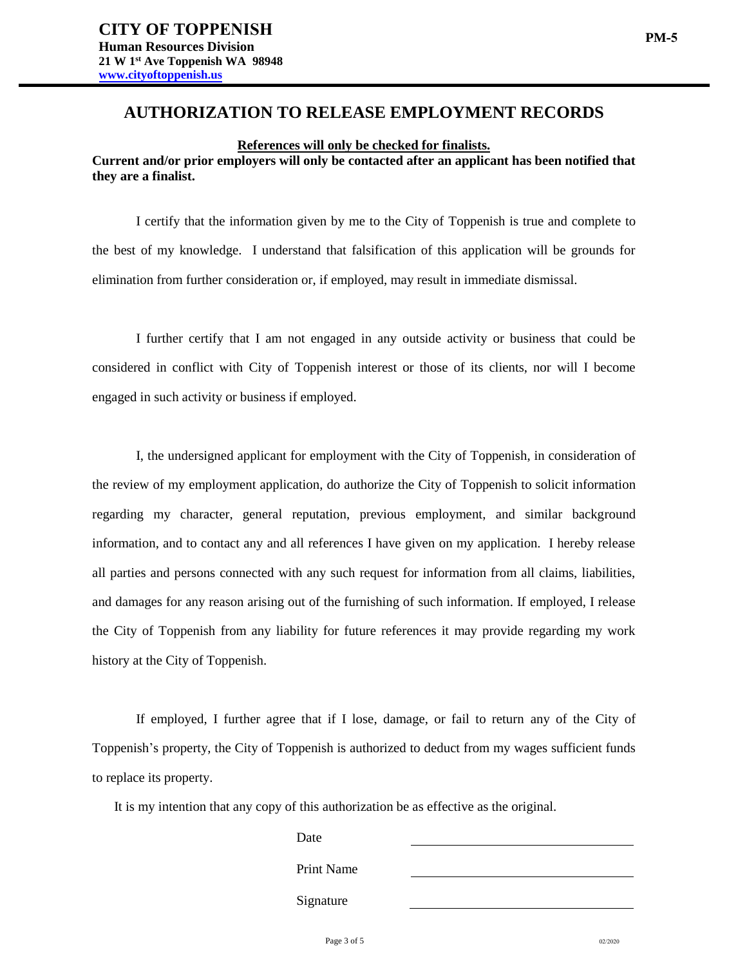## **AUTHORIZATION TO RELEASE EMPLOYMENT RECORDS**

**References will only be checked for finalists. Current and/or prior employers will only be contacted after an applicant has been notified that they are a finalist.**

I certify that the information given by me to the City of Toppenish is true and complete to the best of my knowledge. I understand that falsification of this application will be grounds for elimination from further consideration or, if employed, may result in immediate dismissal.

I further certify that I am not engaged in any outside activity or business that could be considered in conflict with City of Toppenish interest or those of its clients, nor will I become engaged in such activity or business if employed.

I, the undersigned applicant for employment with the City of Toppenish, in consideration of the review of my employment application, do authorize the City of Toppenish to solicit information regarding my character, general reputation, previous employment, and similar background information, and to contact any and all references I have given on my application. I hereby release all parties and persons connected with any such request for information from all claims, liabilities, and damages for any reason arising out of the furnishing of such information. If employed, I release the City of Toppenish from any liability for future references it may provide regarding my work history at the City of Toppenish.

If employed, I further agree that if I lose, damage, or fail to return any of the City of Toppenish's property, the City of Toppenish is authorized to deduct from my wages sufficient funds to replace its property.

It is my intention that any copy of this authorization be as effective as the original.

| Date       |  |
|------------|--|
| Print Name |  |
| Signature  |  |
|            |  |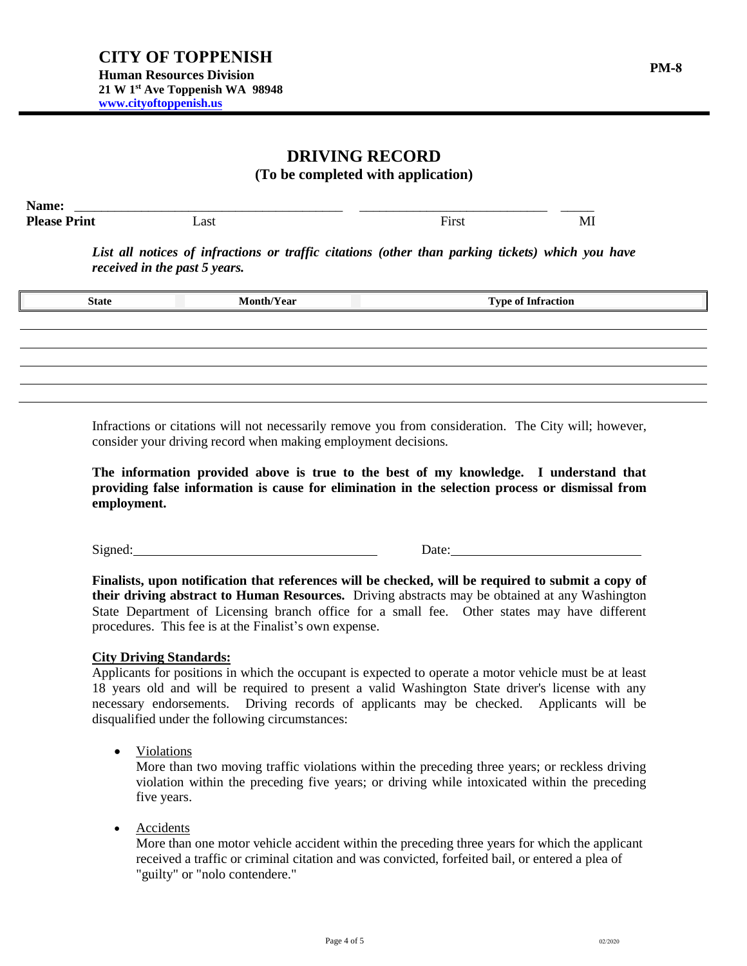# **DRIVING RECORD**

**(To be completed with application)**

| First | MI |
|-------|----|
|       |    |

*List all notices of infractions or traffic citations (other than parking tickets) which you have received in the past 5 years.*

| <b>State</b> | <b>Month/Year</b> | <b>Type of Infraction</b> |
|--------------|-------------------|---------------------------|
|              |                   |                           |
|              |                   |                           |
|              |                   |                           |
|              |                   |                           |
|              |                   |                           |

Infractions or citations will not necessarily remove you from consideration. The City will; however, consider your driving record when making employment decisions.

**The information provided above is true to the best of my knowledge. I understand that providing false information is cause for elimination in the selection process or dismissal from employment.**

Signed: Date:

**Finalists, upon notification that references will be checked, will be required to submit a copy of their driving abstract to Human Resources.** Driving abstracts may be obtained at any Washington State Department of Licensing branch office for a small fee. Other states may have different procedures. This fee is at the Finalist's own expense.

### **City Driving Standards:**

Applicants for positions in which the occupant is expected to operate a motor vehicle must be at least 18 years old and will be required to present a valid Washington State driver's license with any necessary endorsements. Driving records of applicants may be checked. Applicants will be disqualified under the following circumstances:

• Violations

More than two moving traffic violations within the preceding three years; or reckless driving violation within the preceding five years; or driving while intoxicated within the preceding five years.

• Accidents

More than one motor vehicle accident within the preceding three years for which the applicant received a traffic or criminal citation and was convicted, forfeited bail, or entered a plea of "guilty" or "nolo contendere."